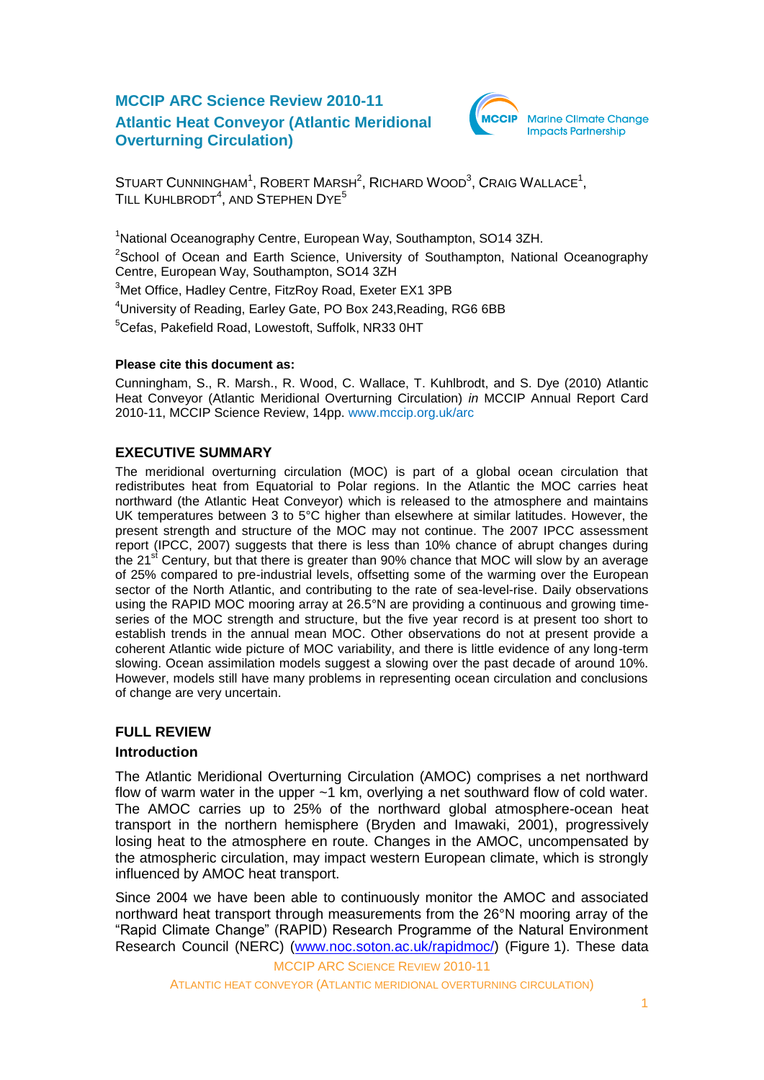## **MCCIP ARC Science Review 2010-11 Atlantic Heat Conveyor (Atlantic Meridional Overturning Circulation)**



STUART CUNNINGHAM $^1$ , ROBERT MARSH $^2$ , RICHARD WOOD $^3$ , CRAIG WALLACE $^1$ , TILL KUHLBRODT $^4$ , and Stephen Dye $^5$ 

<sup>1</sup>National Oceanography Centre, European Way, Southampton, SO14 3ZH. <sup>2</sup>School of Ocean and Earth Science, University of Southampton, National Oceanography Centre, European Way, Southampton, SO14 3ZH <sup>3</sup>Met Office, Hadley Centre, FitzRoy Road, Exeter EX1 3PB

<sup>4</sup> University of Reading, Earley Gate, PO Box 243, Reading, RG6 6BB

<sup>5</sup>Cefas, Pakefield Road, Lowestoft, Suffolk, NR33 0HT

#### **Please cite this document as:**

Cunningham, S., R. Marsh., R. Wood, C. Wallace, T. Kuhlbrodt, and S. Dye (2010) Atlantic Heat Conveyor (Atlantic Meridional Overturning Circulation) *in* MCCIP Annual Report Card 2010-11, MCCIP Science Review, 14pp. [www.mccip.org.uk/arc](http://www.mccip.org.uk/arc)

## **EXECUTIVE SUMMARY**

The meridional overturning circulation (MOC) is part of a global ocean circulation that redistributes heat from Equatorial to Polar regions. In the Atlantic the MOC carries heat northward (the Atlantic Heat Conveyor) which is released to the atmosphere and maintains UK temperatures between 3 to 5°C higher than elsewhere at similar latitudes. However, the present strength and structure of the MOC may not continue. The 2007 IPCC assessment report (IPCC, 2007) suggests that there is less than 10% chance of abrupt changes during the 21 $st$  Century, but that there is greater than 90% chance that MOC will slow by an average of 25% compared to pre-industrial levels, offsetting some of the warming over the European sector of the North Atlantic, and contributing to the rate of sea-level-rise. Daily observations using the RAPID MOC mooring array at 26.5°N are providing a continuous and growing timeseries of the MOC strength and structure, but the five year record is at present too short to establish trends in the annual mean MOC. Other observations do not at present provide a coherent Atlantic wide picture of MOC variability, and there is little evidence of any long-term slowing. Ocean assimilation models suggest a slowing over the past decade of around 10%. However, models still have many problems in representing ocean circulation and conclusions of change are very uncertain.

# **FULL REVIEW**

## **Introduction**

The Atlantic Meridional Overturning Circulation (AMOC) comprises a net northward flow of warm water in the upper  $\sim$ 1 km, overlying a net southward flow of cold water. The AMOC carries up to 25% of the northward global atmosphere-ocean heat transport in the northern hemisphere (Bryden and Imawaki, 2001), progressively losing heat to the atmosphere en route. Changes in the AMOC, uncompensated by the atmospheric circulation, may impact western European climate, which is strongly influenced by AMOC heat transport.

Since 2004 we have been able to continuously monitor the AMOC and associated northward heat transport through measurements from the 26°N mooring array of the "Rapid Climate Change" (RAPID) Research Programme of the Natural Environment Research Council (NERC) [\(www.noc.soton.ac.uk/rapidmoc/\)](http://www.noc.soton.ac.uk/rapidmoc/) (Figure 1). These data

MCCIP ARC SCIENCE REVIEW 2010-11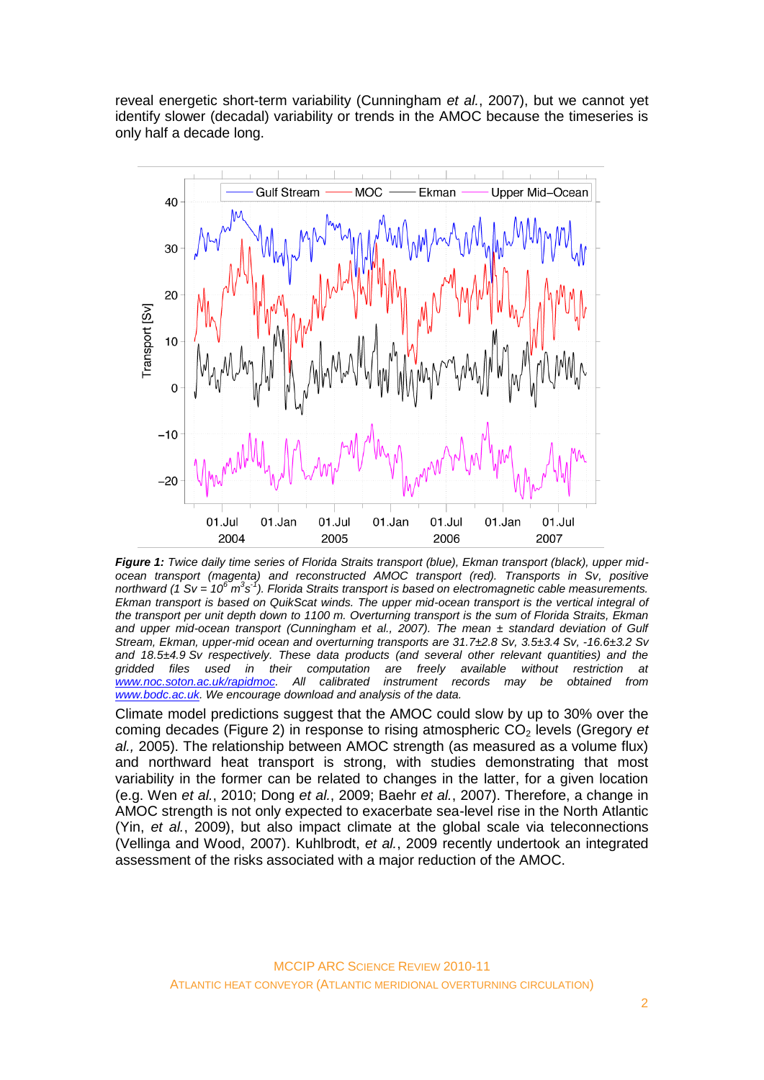reveal energetic short-term variability (Cunningham *et al.*, 2007), but we cannot yet identify slower (decadal) variability or trends in the AMOC because the timeseries is only half a decade long.



*Figure 1: Twice daily time series of Florida Straits transport (blue), Ekman transport (black), upper midocean transport (magenta) and reconstructed AMOC transport (red). Transports in Sv, positive*  northward (1 Sv = 10<sup>6</sup> m<sup>3</sup>s<sup>-1</sup>). Florida Straits transport is based on electromagnetic cable measurements. *Ekman transport is based on QuikScat winds. The upper mid-ocean transport is the vertical integral of the transport per unit depth down to 1100 m. Overturning transport is the sum of Florida Straits, Ekman and upper mid-ocean transport (Cunningham et al., 2007). The mean ± standard deviation of Gulf Stream, Ekman, upper-mid ocean and overturning transports are 31.7±2.8 Sv, 3.5±3.4 Sv, -16.6±3.2 Sv and 18.5±4.9 Sv respectively. These data products (and several other relevant quantities) and the gridded files used in their computation are freely available without restriction at [www.noc.soton.ac.uk/rapidmoc.](http://www.noc.soton.ac.uk/rapidmoc/) All calibrated instrument records may be obtained from [www.bodc.ac.uk.](http://www.bodc.ac.uk/) We encourage download and analysis of the data.*

Climate model predictions suggest that the AMOC could slow by up to 30% over the coming decades (Figure 2) in response to rising atmospheric CO<sub>2</sub> levels (Gregory *et al.,* 2005). The relationship between AMOC strength (as measured as a volume flux) and northward heat transport is strong, with studies demonstrating that most variability in the former can be related to changes in the latter, for a given location (e.g. Wen *et al.*, 2010; Dong *et al.*, 2009; Baehr *et al.*, 2007). Therefore, a change in AMOC strength is not only expected to exacerbate sea-level rise in the North Atlantic (Yin, *et al.*, 2009), but also impact climate at the global scale via teleconnections (Vellinga and Wood, 2007). Kuhlbrodt, *et al.*, 2009 recently undertook an integrated assessment of the risks associated with a major reduction of the AMOC.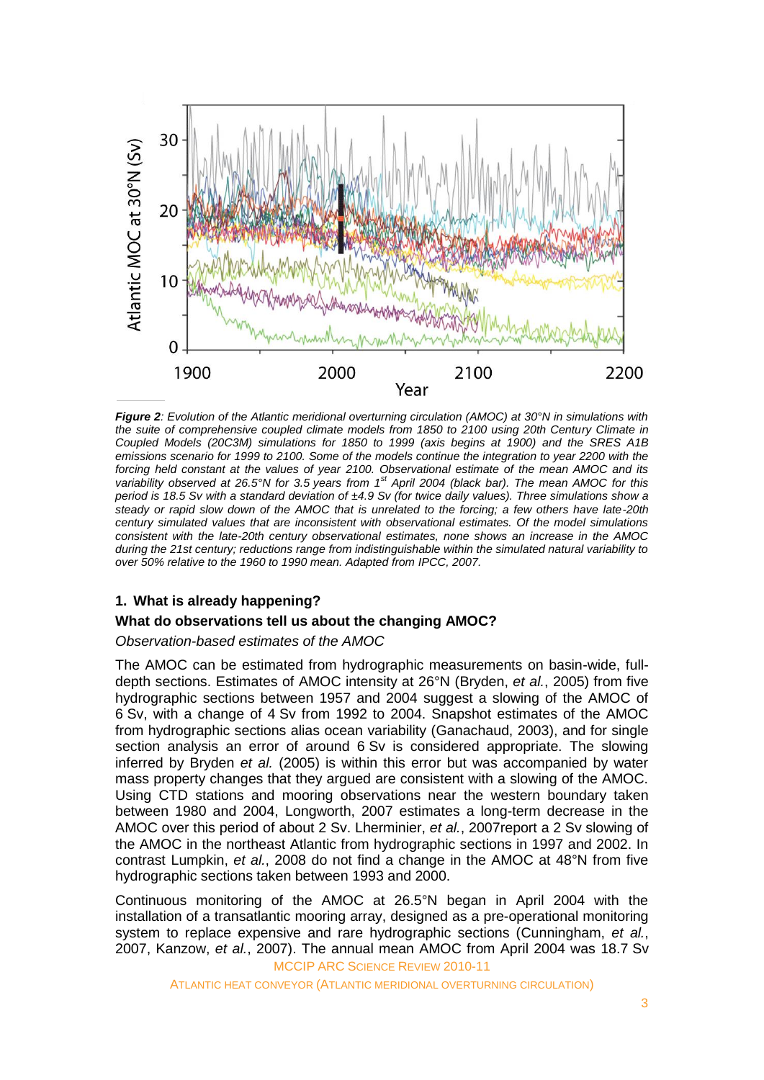

*Figure 2: Evolution of the Atlantic meridional overturning circulation (AMOC) at 30°N in simulations with the suite of comprehensive coupled climate models from 1850 to 2100 using 20th Century Climate in Coupled Models (20C3M) simulations for 1850 to 1999 (axis begins at 1900) and the SRES A1B emissions scenario for 1999 to 2100. Some of the models continue the integration to year 2200 with the*  forcing held constant at the values of year 2100. Observational estimate of the mean AMOC and its *variability observed at 26.5°N for 3.5 years from 1st April 2004 (black bar). The mean AMOC for this period is 18.5 Sv with a standard deviation of ±4.9 Sv (for twice daily values). Three simulations show a steady or rapid slow down of the AMOC that is unrelated to the forcing; a few others have late-20th century simulated values that are inconsistent with observational estimates. Of the model simulations consistent with the late-20th century observational estimates, none shows an increase in the AMOC during the 21st century; reductions range from indistinguishable within the simulated natural variability to over 50% relative to the 1960 to 1990 mean. Adapted from IPCC, 2007.*

### **1. What is already happening?**

#### **What do observations tell us about the changing AMOC?**

*Observation-based estimates of the AMOC*

The AMOC can be estimated from hydrographic measurements on basin-wide, fulldepth sections. Estimates of AMOC intensity at 26°N (Bryden, *et al.*, 2005) from five hydrographic sections between 1957 and 2004 suggest a slowing of the AMOC of 6 Sv, with a change of 4 Sv from 1992 to 2004. Snapshot estimates of the AMOC from hydrographic sections alias ocean variability (Ganachaud, 2003), and for single section analysis an error of around 6 Sv is considered appropriate. The slowing inferred by Bryden *et al.* (2005) is within this error but was accompanied by water mass property changes that they argued are consistent with a slowing of the AMOC. Using CTD stations and mooring observations near the western boundary taken between 1980 and 2004, Longworth, 2007 estimates a long-term decrease in the AMOC over this period of about 2 Sv. Lherminier, *et al.*, 2007report a 2 Sv slowing of the AMOC in the northeast Atlantic from hydrographic sections in 1997 and 2002. In contrast Lumpkin, *et al.*, 2008 do not find a change in the AMOC at 48°N from five hydrographic sections taken between 1993 and 2000.

MCCIP ARC SCIENCE REVIEW 2010-11 Continuous monitoring of the AMOC at 26.5°N began in April 2004 with the installation of a transatlantic mooring array, designed as a pre-operational monitoring system to replace expensive and rare hydrographic sections (Cunningham, *et al.*, 2007, Kanzow, *et al.*, 2007). The annual mean AMOC from April 2004 was 18.7 Sv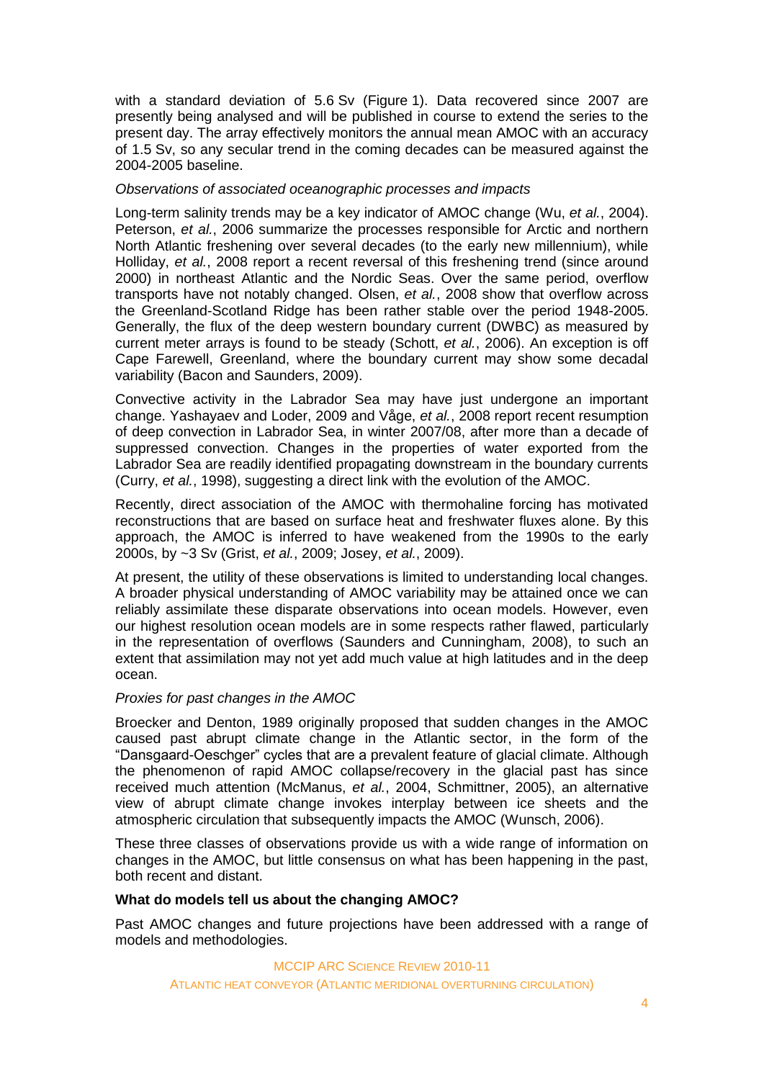with a standard deviation of 5.6 Sv (Figure 1). Data recovered since 2007 are presently being analysed and will be published in course to extend the series to the present day. The array effectively monitors the annual mean AMOC with an accuracy of 1.5 Sv, so any secular trend in the coming decades can be measured against the 2004-2005 baseline.

#### *Observations of associated oceanographic processes and impacts*

Long-term salinity trends may be a key indicator of AMOC change (Wu, *et al.*, 2004). Peterson, *et al.*, 2006 summarize the processes responsible for Arctic and northern North Atlantic freshening over several decades (to the early new millennium), while Holliday, *et al.*, 2008 report a recent reversal of this freshening trend (since around 2000) in northeast Atlantic and the Nordic Seas. Over the same period, overflow transports have not notably changed. Olsen, *et al.*, 2008 show that overflow across the Greenland-Scotland Ridge has been rather stable over the period 1948-2005. Generally, the flux of the deep western boundary current (DWBC) as measured by current meter arrays is found to be steady (Schott, *et al.*, 2006). An exception is off Cape Farewell, Greenland, where the boundary current may show some decadal variability (Bacon and Saunders, 2009).

Convective activity in the Labrador Sea may have just undergone an important change. Yashayaev and Loder, 2009 and Våge, *et al.*, 2008 report recent resumption of deep convection in Labrador Sea, in winter 2007/08, after more than a decade of suppressed convection. Changes in the properties of water exported from the Labrador Sea are readily identified propagating downstream in the boundary currents (Curry, *et al.*, 1998), suggesting a direct link with the evolution of the AMOC.

Recently, direct association of the AMOC with thermohaline forcing has motivated reconstructions that are based on surface heat and freshwater fluxes alone. By this approach, the AMOC is inferred to have weakened from the 1990s to the early 2000s, by ~3 Sv (Grist, *et al.*, 2009; Josey, *et al.*, 2009).

At present, the utility of these observations is limited to understanding local changes. A broader physical understanding of AMOC variability may be attained once we can reliably assimilate these disparate observations into ocean models. However, even our highest resolution ocean models are in some respects rather flawed, particularly in the representation of overflows (Saunders and Cunningham, 2008), to such an extent that assimilation may not yet add much value at high latitudes and in the deep ocean.

#### *Proxies for past changes in the AMOC*

Broecker and Denton, 1989 originally proposed that sudden changes in the AMOC caused past abrupt climate change in the Atlantic sector, in the form of the ―Dansgaard-Oeschger‖ cycles that are a prevalent feature of glacial climate. Although the phenomenon of rapid AMOC collapse/recovery in the glacial past has since received much attention (McManus, *et al.*, 2004, Schmittner, 2005), an alternative view of abrupt climate change invokes interplay between ice sheets and the atmospheric circulation that subsequently impacts the AMOC (Wunsch, 2006).

These three classes of observations provide us with a wide range of information on changes in the AMOC, but little consensus on what has been happening in the past, both recent and distant.

#### **What do models tell us about the changing AMOC?**

Past AMOC changes and future projections have been addressed with a range of models and methodologies.

> MCCIP ARC SCIENCE REVIEW 2010-11 ATLANTIC HEAT CONVEYOR (ATLANTIC MERIDIONAL OVERTURNING CIRCULATION)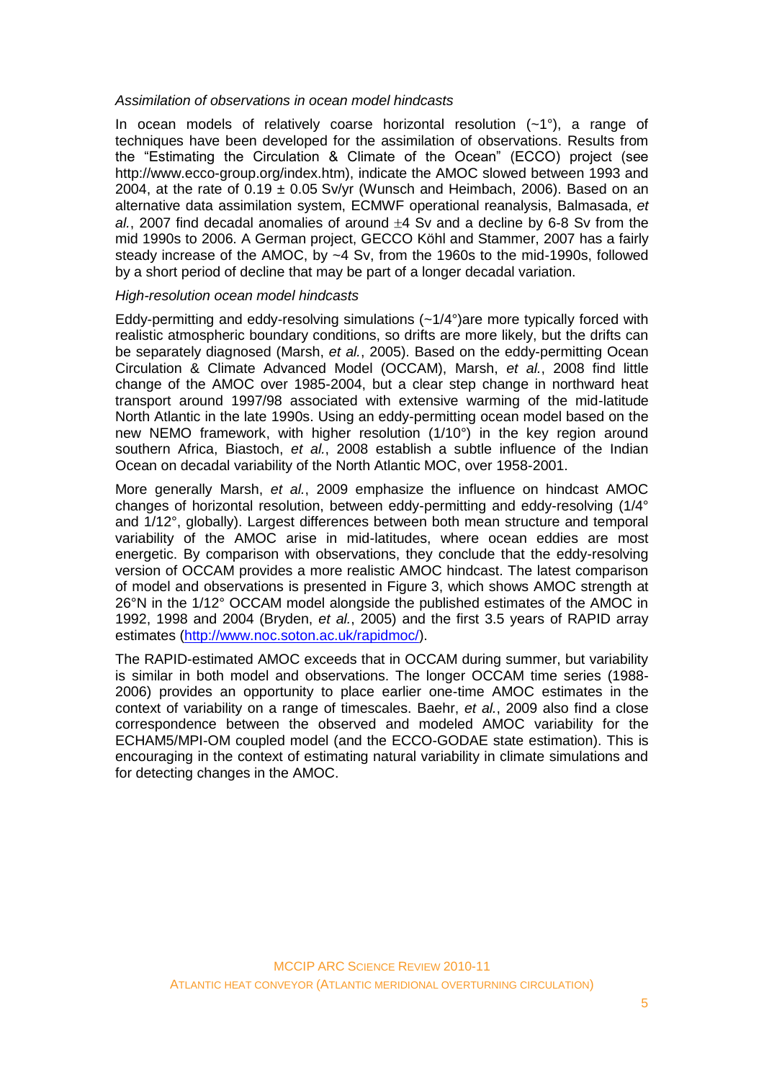#### *Assimilation of observations in ocean model hindcasts*

In ocean models of relatively coarse horizontal resolution  $(-1)$ , a range of techniques have been developed for the assimilation of observations. Results from the "Estimating the Circulation & Climate of the Ocean" (ECCO) project (see http://www.ecco-group.org/index.htm), indicate the AMOC slowed between 1993 and 2004, at the rate of  $0.19 \pm 0.05$  Sv/yr (Wunsch and Heimbach, 2006). Based on an alternative data assimilation system, ECMWF operational reanalysis, Balmasada, *et*   $al.$  2007 find decadal anomalies of around  $\pm 4$  Sv and a decline by 6-8 Sv from the mid 1990s to 2006. A German project, GECCO Köhl and Stammer, 2007 has a fairly steady increase of the AMOC, by ~4 Sv, from the 1960s to the mid-1990s, followed by a short period of decline that may be part of a longer decadal variation.

#### *High-resolution ocean model hindcasts*

Eddy-permitting and eddy-resolving simulations  $(-1/4)$  are more typically forced with realistic atmospheric boundary conditions, so drifts are more likely, but the drifts can be separately diagnosed (Marsh, *et al.*, 2005). Based on the eddy-permitting Ocean Circulation & Climate Advanced Model (OCCAM), Marsh, *et al.*, 2008 find little change of the AMOC over 1985-2004, but a clear step change in northward heat transport around 1997/98 associated with extensive warming of the mid-latitude North Atlantic in the late 1990s. Using an eddy-permitting ocean model based on the new NEMO framework, with higher resolution (1/10°) in the key region around southern Africa, Biastoch, *et al.*, 2008 establish a subtle influence of the Indian Ocean on decadal variability of the North Atlantic MOC, over 1958-2001.

More generally Marsh, *et al.*, 2009 emphasize the influence on hindcast AMOC changes of horizontal resolution, between eddy-permitting and eddy-resolving (1/4° and 1/12°, globally). Largest differences between both mean structure and temporal variability of the AMOC arise in mid-latitudes, where ocean eddies are most energetic. By comparison with observations, they conclude that the eddy-resolving version of OCCAM provides a more realistic AMOC hindcast. The latest comparison of model and observations is presented in Figure 3, which shows AMOC strength at 26°N in the 1/12° OCCAM model alongside the published estimates of the AMOC in 1992, 1998 and 2004 (Bryden, *et al.*, 2005) and the first 3.5 years of RAPID array estimates [\(http://www.noc.soton.ac.uk/rapidmoc/\)](http://www.noc.soton.ac.uk/rapidmoc/).

The RAPID-estimated AMOC exceeds that in OCCAM during summer, but variability is similar in both model and observations. The longer OCCAM time series (1988- 2006) provides an opportunity to place earlier one-time AMOC estimates in the context of variability on a range of timescales. Baehr, *et al.*, 2009 also find a close correspondence between the observed and modeled AMOC variability for the ECHAM5/MPI-OM coupled model (and the ECCO-GODAE state estimation). This is encouraging in the context of estimating natural variability in climate simulations and for detecting changes in the AMOC.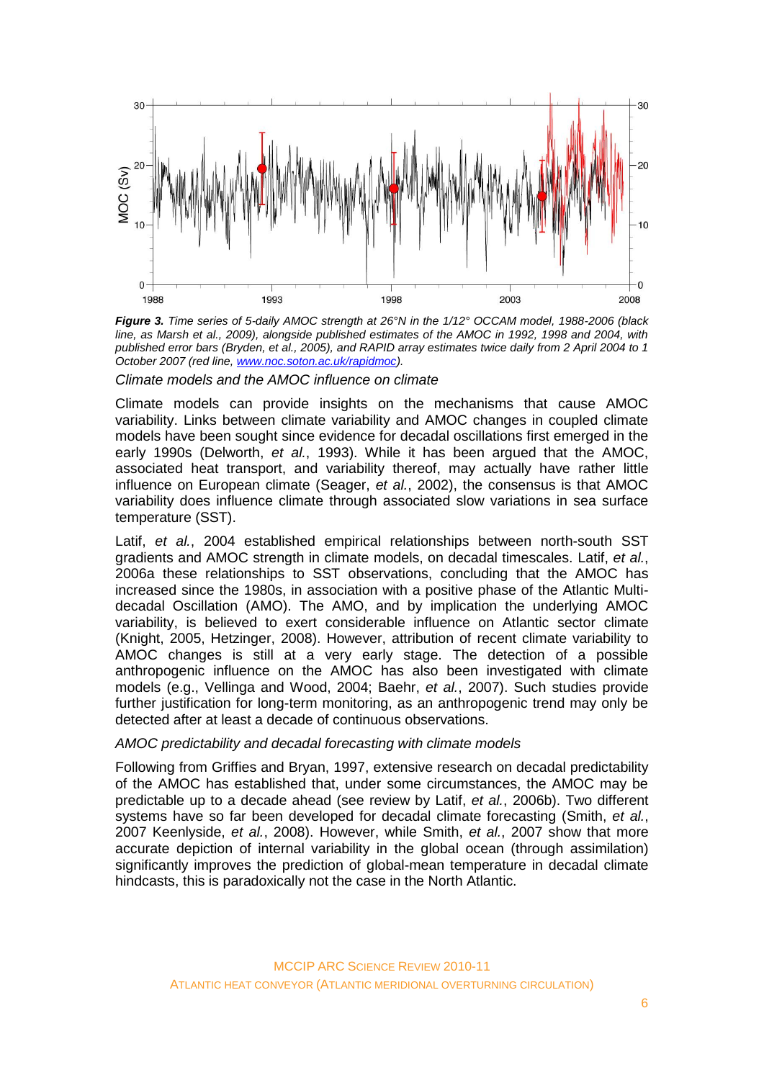

*Figure 3. Time series of 5-daily AMOC strength at 26°N in the 1/12° OCCAM model, 1988-2006 (black line, as Marsh et al., 2009), alongside published estimates of the AMOC in 1992, 1998 and 2004, with published error bars (Bryden, et al., 2005), and RAPID array estimates twice daily from 2 April 2004 to 1 October 2007 (red line, [www.noc.soton.ac.uk/rapidmoc\)](http://www.noc.soton.ac.uk/rapidmoc).*

*Climate models and the AMOC influence on climate*

Climate models can provide insights on the mechanisms that cause AMOC variability. Links between climate variability and AMOC changes in coupled climate models have been sought since evidence for decadal oscillations first emerged in the early 1990s (Delworth, *et al.*, 1993). While it has been argued that the AMOC, associated heat transport, and variability thereof, may actually have rather little influence on European climate (Seager, *et al.*, 2002), the consensus is that AMOC variability does influence climate through associated slow variations in sea surface temperature (SST).

Latif, *et al.*, 2004 established empirical relationships between north-south SST gradients and AMOC strength in climate models, on decadal timescales. Latif, *et al.*, 2006a these relationships to SST observations, concluding that the AMOC has increased since the 1980s, in association with a positive phase of the Atlantic Multidecadal Oscillation (AMO). The AMO, and by implication the underlying AMOC variability, is believed to exert considerable influence on Atlantic sector climate (Knight, 2005, Hetzinger, 2008). However, attribution of recent climate variability to AMOC changes is still at a very early stage. The detection of a possible anthropogenic influence on the AMOC has also been investigated with climate models (e.g., Vellinga and Wood, 2004; Baehr, *et al.*, 2007). Such studies provide further justification for long-term monitoring, as an anthropogenic trend may only be detected after at least a decade of continuous observations.

#### *AMOC predictability and decadal forecasting with climate models*

Following from Griffies and Bryan, 1997, extensive research on decadal predictability of the AMOC has established that, under some circumstances, the AMOC may be predictable up to a decade ahead (see review by Latif, *et al.*, 2006b). Two different systems have so far been developed for decadal climate forecasting (Smith, *et al.*, 2007 Keenlyside, *et al.*, 2008). However, while Smith, *et al.*, 2007 show that more accurate depiction of internal variability in the global ocean (through assimilation) significantly improves the prediction of global-mean temperature in decadal climate hindcasts, this is paradoxically not the case in the North Atlantic.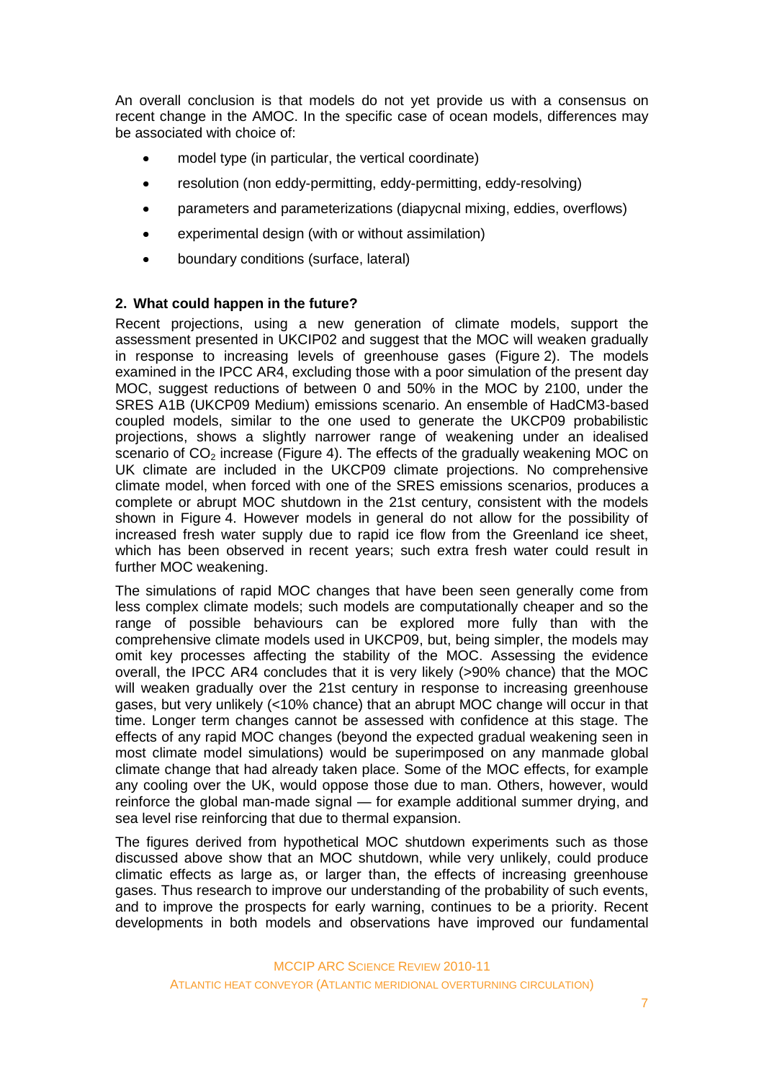An overall conclusion is that models do not yet provide us with a consensus on recent change in the AMOC. In the specific case of ocean models, differences may be associated with choice of:

- model type (in particular, the vertical coordinate)
- $\bullet$ resolution (non eddy-permitting, eddy-permitting, eddy-resolving)
- parameters and parameterizations (diapycnal mixing, eddies, overflows)  $\bullet$
- experimental design (with or without assimilation)
- boundary conditions (surface, lateral)  $\bullet$

#### **2. What could happen in the future?**

Recent projections, using a new generation of climate models, support the assessment presented in UKCIP02 and suggest that the MOC will weaken gradually in response to increasing levels of greenhouse gases (Figure 2). The models examined in the IPCC AR4, excluding those with a poor simulation of the present day MOC, suggest reductions of between 0 and 50% in the MOC by 2100, under the SRES A1B (UKCP09 Medium) emissions scenario. An ensemble of HadCM3-based coupled models, similar to the one used to generate the UKCP09 probabilistic projections, shows a slightly narrower range of weakening under an idealised scenario of  $CO<sub>2</sub>$  increase (Figure 4). The effects of the gradually weakening MOC on UK climate are included in the UKCP09 climate projections. No comprehensive climate model, when forced with one of the SRES emissions scenarios, produces a complete or abrupt MOC shutdown in the 21st century, consistent with the models shown in Figure 4. However models in general do not allow for the possibility of increased fresh water supply due to rapid ice flow from the Greenland ice sheet, which has been observed in recent years; such extra fresh water could result in further MOC weakening.

The simulations of rapid MOC changes that have been seen generally come from less complex climate models; such models are computationally cheaper and so the range of possible behaviours can be explored more fully than with the comprehensive climate models used in UKCP09, but, being simpler, the models may omit key processes affecting the stability of the MOC. Assessing the evidence overall, the IPCC AR4 concludes that it is very likely (>90% chance) that the MOC will weaken gradually over the 21st century in response to increasing greenhouse gases, but very unlikely (<10% chance) that an abrupt MOC change will occur in that time. Longer term changes cannot be assessed with confidence at this stage. The effects of any rapid MOC changes (beyond the expected gradual weakening seen in most climate model simulations) would be superimposed on any manmade global climate change that had already taken place. Some of the MOC effects, for example any cooling over the UK, would oppose those due to man. Others, however, would reinforce the global man-made signal — for example additional summer drying, and sea level rise reinforcing that due to thermal expansion.

The figures derived from hypothetical MOC shutdown experiments such as those discussed above show that an MOC shutdown, while very unlikely, could produce climatic effects as large as, or larger than, the effects of increasing greenhouse gases. Thus research to improve our understanding of the probability of such events, and to improve the prospects for early warning, continues to be a priority. Recent developments in both models and observations have improved our fundamental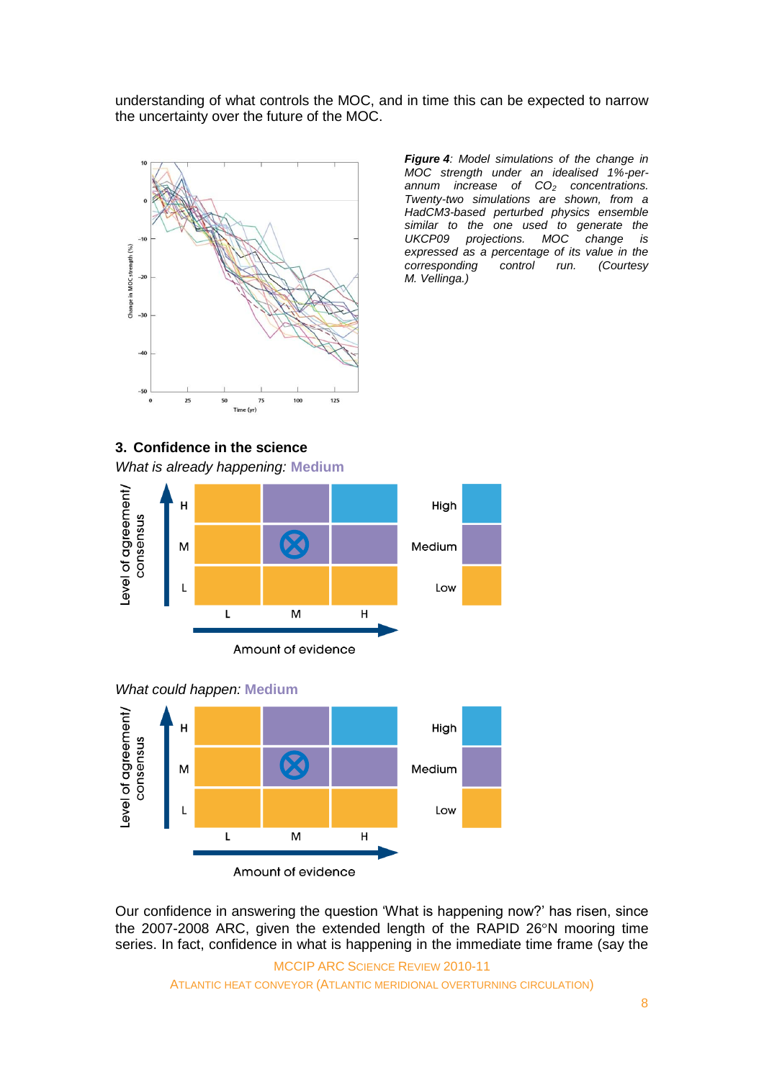understanding of what controls the MOC, and in time this can be expected to narrow the uncertainty over the future of the MOC.



*Figure 4: Model simulations of the change in MOC strength under an idealised 1%-perannum increase of CO<sup>2</sup> concentrations. Twenty-two simulations are shown, from a HadCM3-based perturbed physics ensemble similar to the one used to generate the UKCP09 projections. MOC change is expressed as a percentage of its value in the corresponding control run. (Courtesy M. Vellinga.)*

## **3. Confidence in the science**

*What is already happening:* **Medium**







Our confidence in answering the question 'What is happening now?' has risen, since the 2007-2008 ARC, given the extended length of the RAPID 26°N mooring time series. In fact, confidence in what is happening in the immediate time frame (say the

MCCIP ARC SCIENCE REVIEW 2010-11 ATLANTIC HEAT CONVEYOR (ATLANTIC MERIDIONAL OVERTURNING CIRCULATION)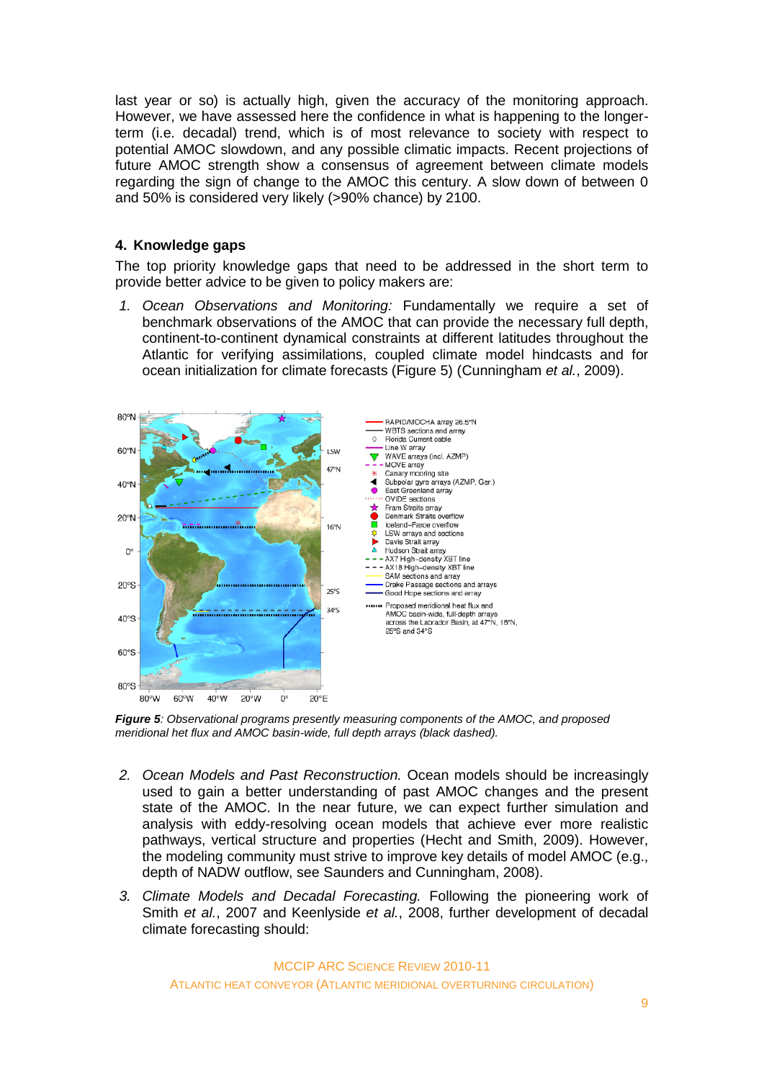last year or so) is actually high, given the accuracy of the monitoring approach. However, we have assessed here the confidence in what is happening to the longerterm (i.e. decadal) trend, which is of most relevance to society with respect to potential AMOC slowdown, and any possible climatic impacts. Recent projections of future AMOC strength show a consensus of agreement between climate models regarding the sign of change to the AMOC this century. A slow down of between 0 and 50% is considered very likely (>90% chance) by 2100.

## **4. Knowledge gaps**

The top priority knowledge gaps that need to be addressed in the short term to provide better advice to be given to policy makers are:

*1. Ocean Observations and Monitoring:* Fundamentally we require a set of benchmark observations of the AMOC that can provide the necessary full depth, continent-to-continent dynamical constraints at different latitudes throughout the Atlantic for verifying assimilations, coupled climate model hindcasts and for ocean initialization for climate forecasts (Figure 5) (Cunningham *et al.*, 2009).



*Figure 5: Observational programs presently measuring components of the AMOC, and proposed meridional het flux and AMOC basin-wide, full depth arrays (black dashed).*

- *2. Ocean Models and Past Reconstruction.* Ocean models should be increasingly used to gain a better understanding of past AMOC changes and the present state of the AMOC. In the near future, we can expect further simulation and analysis with eddy-resolving ocean models that achieve ever more realistic pathways, vertical structure and properties (Hecht and Smith, 2009). However, the modeling community must strive to improve key details of model AMOC (e.g., depth of NADW outflow, see Saunders and Cunningham, 2008).
- *3. Climate Models and Decadal Forecasting.* Following the pioneering work of Smith *et al.*, 2007 and Keenlyside *et al.*, 2008, further development of decadal climate forecasting should:

MCCIP ARC SCIENCE REVIEW 2010-11 ATLANTIC HEAT CONVEYOR (ATLANTIC MERIDIONAL OVERTURNING CIRCULATION)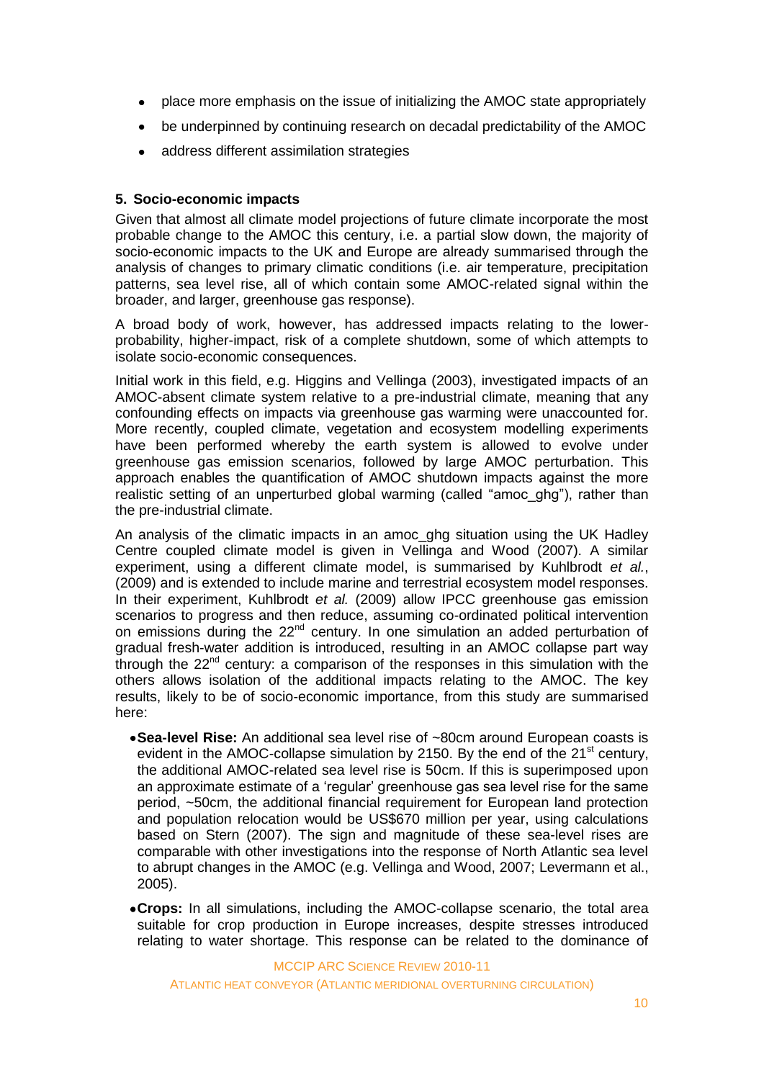- place more emphasis on the issue of initializing the AMOC state appropriately
- be underpinned by continuing research on decadal predictability of the AMOC
- address different assimilation strategies  $\bullet$

## **5. Socio-economic impacts**

Given that almost all climate model projections of future climate incorporate the most probable change to the AMOC this century, i.e. a partial slow down, the majority of socio-economic impacts to the UK and Europe are already summarised through the analysis of changes to primary climatic conditions (i.e. air temperature, precipitation patterns, sea level rise, all of which contain some AMOC-related signal within the broader, and larger, greenhouse gas response).

A broad body of work, however, has addressed impacts relating to the lowerprobability, higher-impact, risk of a complete shutdown, some of which attempts to isolate socio-economic consequences.

Initial work in this field, e.g. Higgins and Vellinga (2003), investigated impacts of an AMOC-absent climate system relative to a pre-industrial climate, meaning that any confounding effects on impacts via greenhouse gas warming were unaccounted for. More recently, coupled climate, vegetation and ecosystem modelling experiments have been performed whereby the earth system is allowed to evolve under greenhouse gas emission scenarios, followed by large AMOC perturbation. This approach enables the quantification of AMOC shutdown impacts against the more realistic setting of an unperturbed global warming (called "amoc\_ghg"), rather than the pre-industrial climate.

An analysis of the climatic impacts in an amoc\_ghg situation using the UK Hadley Centre coupled climate model is given in Vellinga and Wood (2007). A similar experiment, using a different climate model, is summarised by Kuhlbrodt *et al.*, (2009) and is extended to include marine and terrestrial ecosystem model responses. In their experiment, Kuhlbrodt *et al.* (2009) allow IPCC greenhouse gas emission scenarios to progress and then reduce, assuming co-ordinated political intervention on emissions during the 22<sup>nd</sup> century. In one simulation an added perturbation of gradual fresh-water addition is introduced, resulting in an AMOC collapse part way through the 22nd century: a comparison of the responses in this simulation with the others allows isolation of the additional impacts relating to the AMOC. The key results, likely to be of socio-economic importance, from this study are summarised here:

- **Sea-level Rise:** An additional sea level rise of ~80cm around European coasts is evident in the AMOC-collapse simulation by 2150. By the end of the  $21<sup>st</sup>$  century, the additional AMOC-related sea level rise is 50cm. If this is superimposed upon an approximate estimate of a 'regular' greenhouse gas sea level rise for the same period, ~50cm, the additional financial requirement for European land protection and population relocation would be US\$670 million per year, using calculations based on Stern (2007). The sign and magnitude of these sea-level rises are comparable with other investigations into the response of North Atlantic sea level to abrupt changes in the AMOC (e.g. Vellinga and Wood, 2007; Levermann et al., 2005).
- **Crops:** In all simulations, including the AMOC-collapse scenario, the total area suitable for crop production in Europe increases, despite stresses introduced relating to water shortage. This response can be related to the dominance of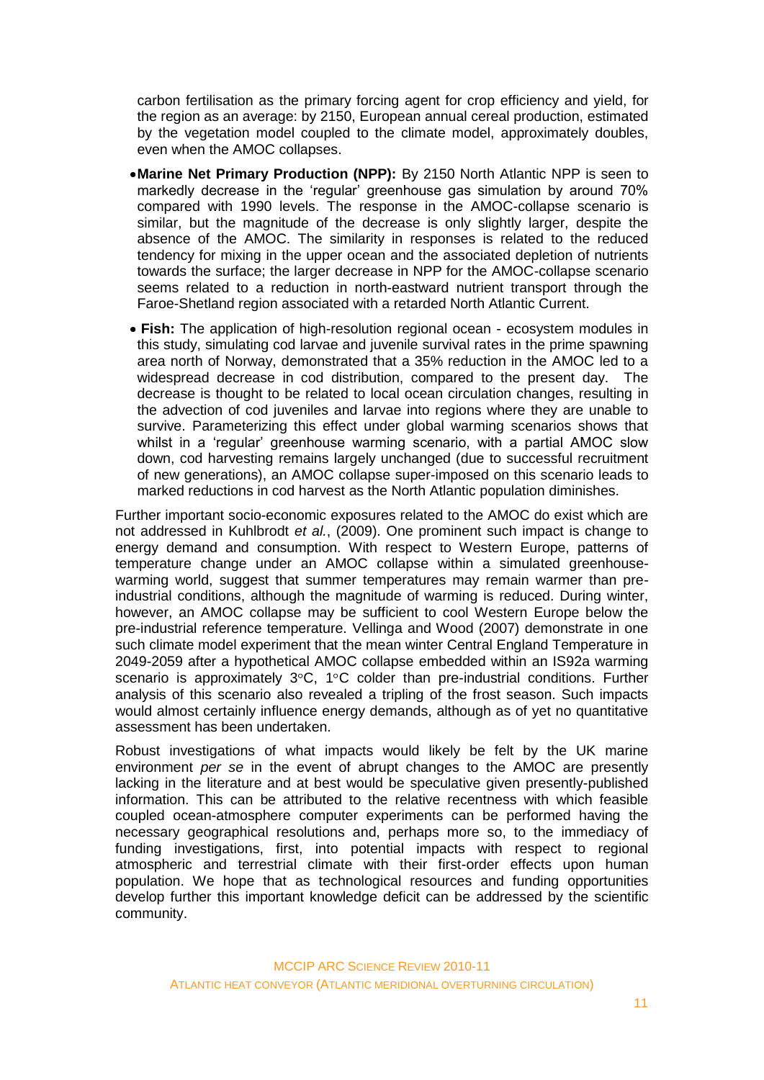carbon fertilisation as the primary forcing agent for crop efficiency and yield, for the region as an average: by 2150, European annual cereal production, estimated by the vegetation model coupled to the climate model, approximately doubles, even when the AMOC collapses.

- **Marine Net Primary Production (NPP):** By 2150 North Atlantic NPP is seen to markedly decrease in the 'regular' greenhouse gas simulation by around 70% compared with 1990 levels. The response in the AMOC-collapse scenario is similar, but the magnitude of the decrease is only slightly larger, despite the absence of the AMOC. The similarity in responses is related to the reduced tendency for mixing in the upper ocean and the associated depletion of nutrients towards the surface; the larger decrease in NPP for the AMOC-collapse scenario seems related to a reduction in north-eastward nutrient transport through the Faroe-Shetland region associated with a retarded North Atlantic Current.
- **Fish:** The application of high-resolution regional ocean ecosystem modules in this study, simulating cod larvae and juvenile survival rates in the prime spawning area north of Norway, demonstrated that a 35% reduction in the AMOC led to a widespread decrease in cod distribution, compared to the present day. The decrease is thought to be related to local ocean circulation changes, resulting in the advection of cod juveniles and larvae into regions where they are unable to survive. Parameterizing this effect under global warming scenarios shows that whilst in a 'regular' greenhouse warming scenario, with a partial AMOC slow down, cod harvesting remains largely unchanged (due to successful recruitment of new generations), an AMOC collapse super-imposed on this scenario leads to marked reductions in cod harvest as the North Atlantic population diminishes.

Further important socio-economic exposures related to the AMOC do exist which are not addressed in Kuhlbrodt *et al.*, (2009). One prominent such impact is change to energy demand and consumption. With respect to Western Europe, patterns of temperature change under an AMOC collapse within a simulated greenhousewarming world, suggest that summer temperatures may remain warmer than preindustrial conditions, although the magnitude of warming is reduced. During winter, however, an AMOC collapse may be sufficient to cool Western Europe below the pre-industrial reference temperature. Vellinga and Wood (2007) demonstrate in one such climate model experiment that the mean winter Central England Temperature in 2049-2059 after a hypothetical AMOC collapse embedded within an IS92a warming scenario is approximately  $3^{\circ}$ C,  $1^{\circ}$ C colder than pre-industrial conditions. Further analysis of this scenario also revealed a tripling of the frost season. Such impacts would almost certainly influence energy demands, although as of yet no quantitative assessment has been undertaken.

Robust investigations of what impacts would likely be felt by the UK marine environment *per se* in the event of abrupt changes to the AMOC are presently lacking in the literature and at best would be speculative given presently-published information. This can be attributed to the relative recentness with which feasible coupled ocean-atmosphere computer experiments can be performed having the necessary geographical resolutions and, perhaps more so, to the immediacy of funding investigations, first, into potential impacts with respect to regional atmospheric and terrestrial climate with their first-order effects upon human population. We hope that as technological resources and funding opportunities develop further this important knowledge deficit can be addressed by the scientific community.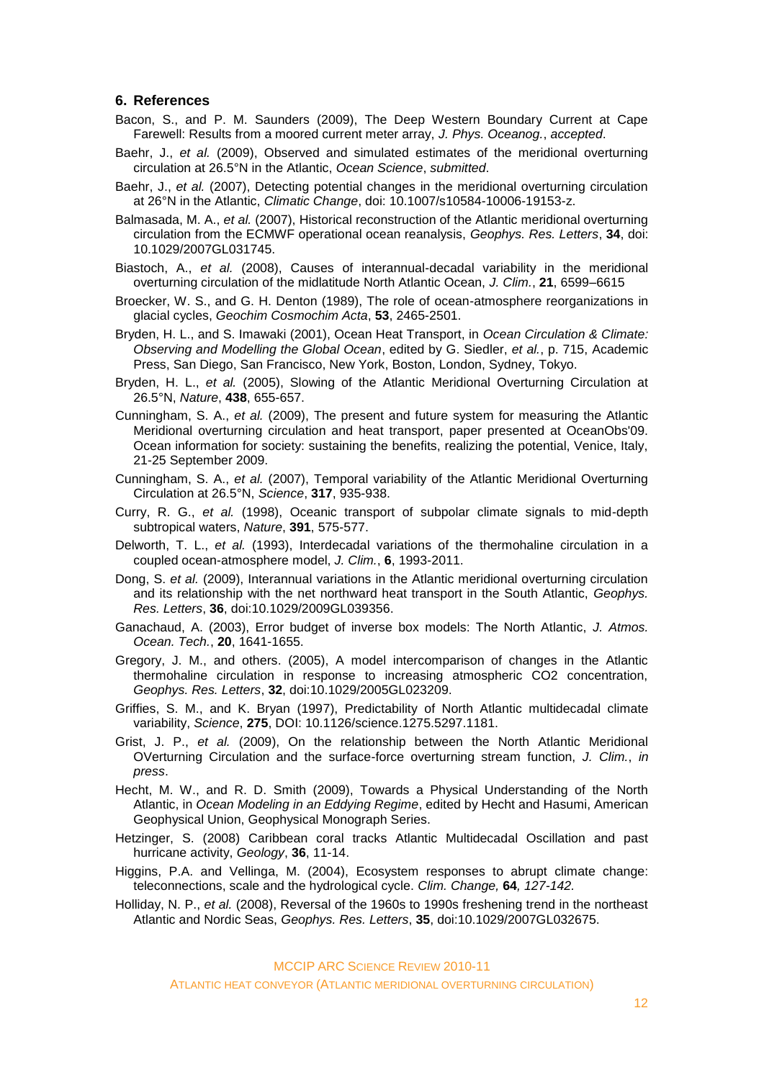#### **6. References**

- Bacon, S., and P. M. Saunders (2009), The Deep Western Boundary Current at Cape Farewell: Results from a moored current meter array, *J. Phys. Oceanog.*, *accepted*.
- Baehr, J., *et al.* (2009), Observed and simulated estimates of the meridional overturning circulation at 26.5°N in the Atlantic, *Ocean Science*, *submitted*.
- Baehr, J., *et al.* (2007), Detecting potential changes in the meridional overturning circulation at 26°N in the Atlantic, *Climatic Change*, doi: 10.1007/s10584-10006-19153-z.
- Balmasada, M. A., *et al.* (2007), Historical reconstruction of the Atlantic meridional overturning circulation from the ECMWF operational ocean reanalysis, *Geophys. Res. Letters*, **34**, doi: 10.1029/2007GL031745.
- Biastoch, A., *et al.* (2008), Causes of interannual-decadal variability in the meridional overturning circulation of the midlatitude North Atlantic Ocean, *J. Clim.*, **21**, 6599–6615
- Broecker, W. S., and G. H. Denton (1989), The role of ocean-atmosphere reorganizations in glacial cycles, *Geochim Cosmochim Acta*, **53**, 2465-2501.
- Bryden, H. L., and S. Imawaki (2001), Ocean Heat Transport, in *Ocean Circulation & Climate: Observing and Modelling the Global Ocean*, edited by G. Siedler, *et al.*, p. 715, Academic Press, San Diego, San Francisco, New York, Boston, London, Sydney, Tokyo.
- Bryden, H. L., *et al.* (2005), Slowing of the Atlantic Meridional Overturning Circulation at 26.5°N, *Nature*, **438**, 655-657.
- Cunningham, S. A., *et al.* (2009), The present and future system for measuring the Atlantic Meridional overturning circulation and heat transport, paper presented at OceanObs'09. Ocean information for society: sustaining the benefits, realizing the potential, Venice, Italy, 21-25 September 2009.
- Cunningham, S. A., *et al.* (2007), Temporal variability of the Atlantic Meridional Overturning Circulation at 26.5°N, *Science*, **317**, 935-938.
- Curry, R. G., *et al.* (1998), Oceanic transport of subpolar climate signals to mid-depth subtropical waters, *Nature*, **391**, 575-577.
- Delworth, T. L., *et al.* (1993), Interdecadal variations of the thermohaline circulation in a coupled ocean-atmosphere model, *J. Clim.*, **6**, 1993-2011.
- Dong, S. *et al.* (2009), Interannual variations in the Atlantic meridional overturning circulation and its relationship with the net northward heat transport in the South Atlantic, *Geophys. Res. Letters*, **36**, doi:10.1029/2009GL039356.
- Ganachaud, A. (2003), Error budget of inverse box models: The North Atlantic, *J. Atmos. Ocean. Tech.*, **20**, 1641-1655.
- Gregory, J. M., and others. (2005), A model intercomparison of changes in the Atlantic thermohaline circulation in response to increasing atmospheric CO2 concentration, *Geophys. Res. Letters*, **32**, doi:10.1029/2005GL023209.
- Griffies, S. M., and K. Bryan (1997), Predictability of North Atlantic multidecadal climate variability, *Science*, **275**, DOI: 10.1126/science.1275.5297.1181.
- Grist, J. P., *et al.* (2009), On the relationship between the North Atlantic Meridional OVerturning Circulation and the surface-force overturning stream function, *J. Clim.*, *in press*.
- Hecht, M. W., and R. D. Smith (2009), Towards a Physical Understanding of the North Atlantic, in *Ocean Modeling in an Eddying Regime*, edited by Hecht and Hasumi, American Geophysical Union, Geophysical Monograph Series.
- Hetzinger, S. (2008) Caribbean coral tracks Atlantic Multidecadal Oscillation and past hurricane activity, *Geology*, **36**, 11-14.
- Higgins, P.A. and Vellinga, M. (2004), Ecosystem responses to abrupt climate change: teleconnections, scale and the hydrological cycle. *Clim. Change,* **64***, 127-142.*
- Holliday, N. P., *et al.* (2008), Reversal of the 1960s to 1990s freshening trend in the northeast Atlantic and Nordic Seas, *Geophys. Res. Letters*, **35**, doi:10.1029/2007GL032675.

MCCIP ARC SCIENCE REVIEW 2010-11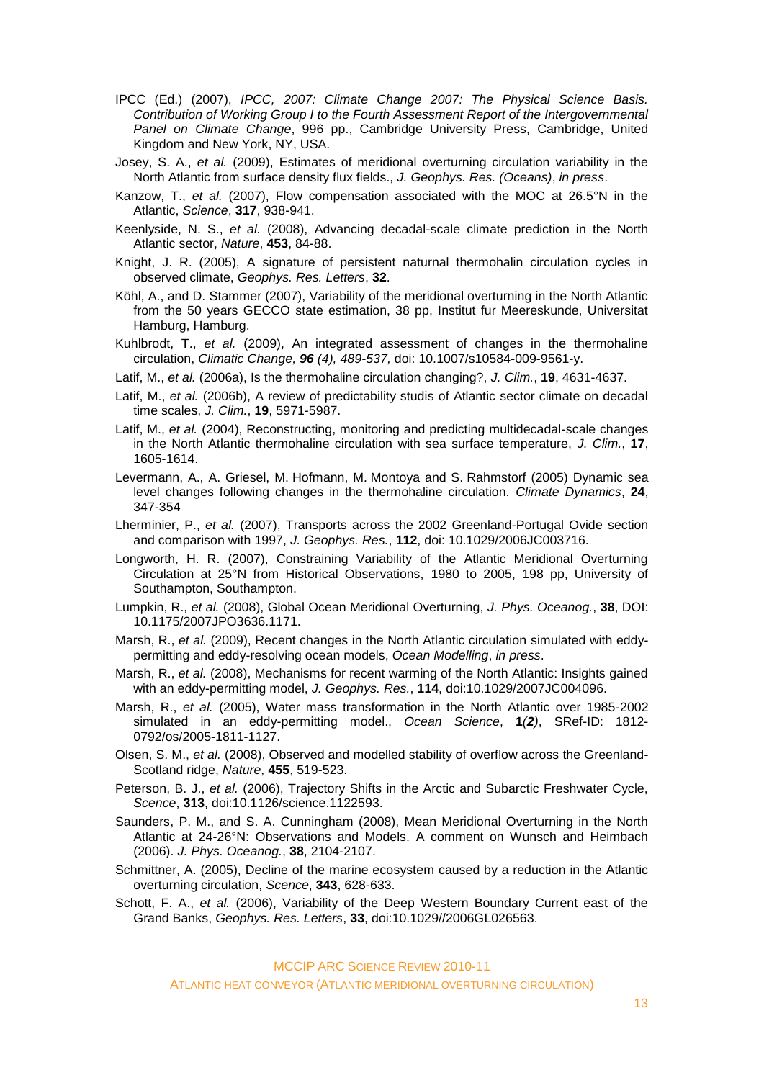- IPCC (Ed.) (2007), *IPCC, 2007: Climate Change 2007: The Physical Science Basis. Contribution of Working Group I to the Fourth Assessment Report of the Intergovernmental Panel on Climate Change*, 996 pp., Cambridge University Press, Cambridge, United Kingdom and New York, NY, USA.
- Josey, S. A., *et al.* (2009), Estimates of meridional overturning circulation variability in the North Atlantic from surface density flux fields., *J. Geophys. Res. (Oceans)*, *in press*.
- Kanzow, T., *et al.* (2007), Flow compensation associated with the MOC at 26.5°N in the Atlantic, *Science*, **317**, 938-941.
- Keenlyside, N. S., *et al.* (2008), Advancing decadal-scale climate prediction in the North Atlantic sector, *Nature*, **453**, 84-88.
- Knight, J. R. (2005), A signature of persistent naturnal thermohalin circulation cycles in observed climate, *Geophys. Res. Letters*, **32**.
- Köhl, A., and D. Stammer (2007), Variability of the meridional overturning in the North Atlantic from the 50 years GECCO state estimation, 38 pp, Institut fur Meereskunde, Universitat Hamburg, Hamburg.
- Kuhlbrodt, T., *et al.* (2009), An integrated assessment of changes in the thermohaline circulation, *Climatic Change, 96 (4), 489-537,* doi: 10.1007/s10584-009-9561-y.
- Latif, M., *et al.* (2006a), Is the thermohaline circulation changing?, *J. Clim.*, **19**, 4631-4637.
- Latif, M., *et al.* (2006b), A review of predictability studis of Atlantic sector climate on decadal time scales, *J. Clim.*, **19**, 5971-5987.
- Latif, M., *et al.* (2004), Reconstructing, monitoring and predicting multidecadal-scale changes in the North Atlantic thermohaline circulation with sea surface temperature, *J. Clim.*, **17**, 1605-1614.
- Levermann, A., A. Griesel, M. Hofmann, M. Montoya and S. Rahmstorf (2005) Dynamic sea level changes following changes in the thermohaline circulation. *[Climate Dynamics](http://www.springerlink.com/content/100405/?p=2d250b5020db4b469806dba7486f0128&pi=0)*, **24**, 347-354
- Lherminier, P., *et al.* (2007), Transports across the 2002 Greenland-Portugal Ovide section and comparison with 1997, *J. Geophys. Res.*, **112**, doi: 10.1029/2006JC003716.
- Longworth, H. R. (2007), Constraining Variability of the Atlantic Meridional Overturning Circulation at 25°N from Historical Observations, 1980 to 2005, 198 pp, University of Southampton, Southampton.
- Lumpkin, R., *et al.* (2008), Global Ocean Meridional Overturning, *J. Phys. Oceanog.*, **38**, DOI: 10.1175/2007JPO3636.1171.
- Marsh, R., *et al.* (2009), Recent changes in the North Atlantic circulation simulated with eddypermitting and eddy-resolving ocean models, *Ocean Modelling*, *in press*.
- Marsh, R., *et al.* (2008), Mechanisms for recent warming of the North Atlantic: Insights gained with an eddy-permitting model, *J. Geophys. Res.*, **114**, doi:10.1029/2007JC004096.
- Marsh, R., *et al.* (2005), Water mass transformation in the North Atlantic over 1985-2002 simulated in an eddy-permitting model., *Ocean Science*, **1***(2)*, SRef-ID: 1812- 0792/os/2005-1811-1127.
- Olsen, S. M., *et al.* (2008), Observed and modelled stability of overflow across the Greenland-Scotland ridge, *Nature*, **455**, 519-523.
- Peterson, B. J., *et al.* (2006), Trajectory Shifts in the Arctic and Subarctic Freshwater Cycle, *Scence*, **313**, doi:10.1126/science.1122593.
- Saunders, P. M., and S. A. Cunningham (2008), Mean Meridional Overturning in the North Atlantic at 24-26°N: Observations and Models. A comment on Wunsch and Heimbach (2006). *J. Phys. Oceanog.*, **38**, 2104-2107.
- Schmittner, A. (2005), Decline of the marine ecosystem caused by a reduction in the Atlantic overturning circulation, *Scence*, **343**, 628-633.
- Schott, F. A., *et al.* (2006), Variability of the Deep Western Boundary Current east of the Grand Banks, *Geophys. Res. Letters*, **33**, doi:10.1029//2006GL026563.

MCCIP ARC SCIENCE REVIEW 2010-11